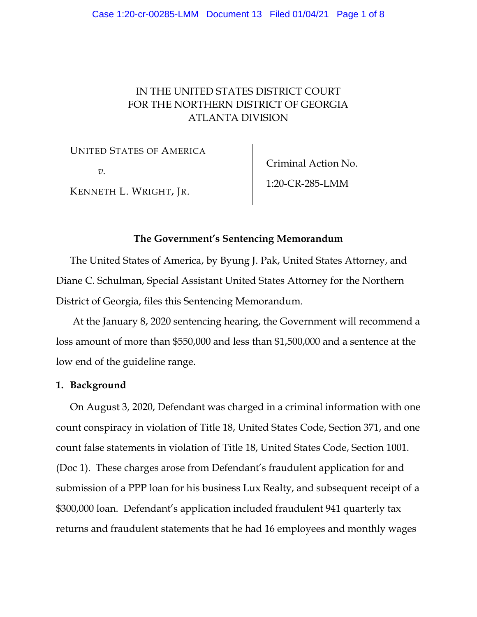#### Case 1:20-cr-00285-LMM Document 13 Filed 01/04/21 Page 1 of 8

# IN THE UNITED STATES DISTRICT COURT FOR THE NORTHERN DISTRICT OF GEORGIA ATLANTA DIVISION

UNITED STATES OF AMERICA

*v.*

KENNETH L. WRIGHT, JR.

Criminal Action No. 1:20-CR-285-LMM

### **The Government's Sentencing Memorandum**

The United States of America, by Byung J. Pak, United States Attorney, and Diane C. Schulman, Special Assistant United States Attorney for the Northern District of Georgia, files this Sentencing Memorandum.

At the January 8, 2020 sentencing hearing, the Government will recommend a loss amount of more than \$550,000 and less than \$1,500,000 and a sentence at the low end of the guideline range.

### **1. Background**

On August 3, 2020, Defendant was charged in a criminal information with one count conspiracy in violation of Title 18, United States Code, Section 371, and one count false statements in violation of Title 18, United States Code, Section 1001. (Doc 1). These charges arose from Defendant's fraudulent application for and submission of a PPP loan for his business Lux Realty, and subsequent receipt of a \$300,000 loan. Defendant's application included fraudulent 941 quarterly tax returns and fraudulent statements that he had 16 employees and monthly wages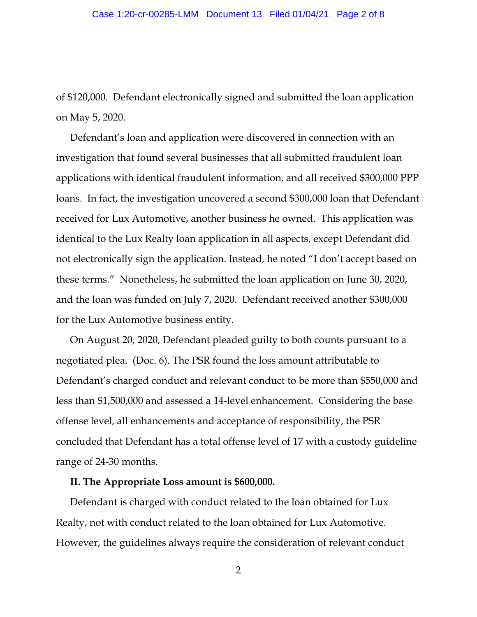of \$120,000. Defendant electronically signed and submitted the loan application on May 5, 2020.

Defendant's loan and application were discovered in connection with an investigation that found several businesses that all submitted fraudulent loan applications with identical fraudulent information, and all received \$300,000 PPP loans. In fact, the investigation uncovered a second \$300,000 loan that Defendant received for Lux Automotive, another business he owned. This application was identical to the Lux Realty loan application in all aspects, except Defendant did not electronically sign the application. Instead, he noted "I don't accept based on these terms." Nonetheless, he submitted the loan application on June 30, 2020, and the loan was funded on July 7, 2020. Defendant received another \$300,000 for the Lux Automotive business entity.

On August 20, 2020, Defendant pleaded guilty to both counts pursuant to a negotiated plea. (Doc. 6). The PSR found the loss amount attributable to Defendant's charged conduct and relevant conduct to be more than \$550,000 and less than \$1,500,000 and assessed a 14-level enhancement. Considering the base offense level, all enhancements and acceptance of responsibility, the PSR concluded that Defendant has a total offense level of 17 with a custody guideline range of 24-30 months.

#### **II. The Appropriate Loss amount is \$600,000.**

Defendant is charged with conduct related to the loan obtained for Lux Realty, not with conduct related to the loan obtained for Lux Automotive. However, the guidelines always require the consideration of relevant conduct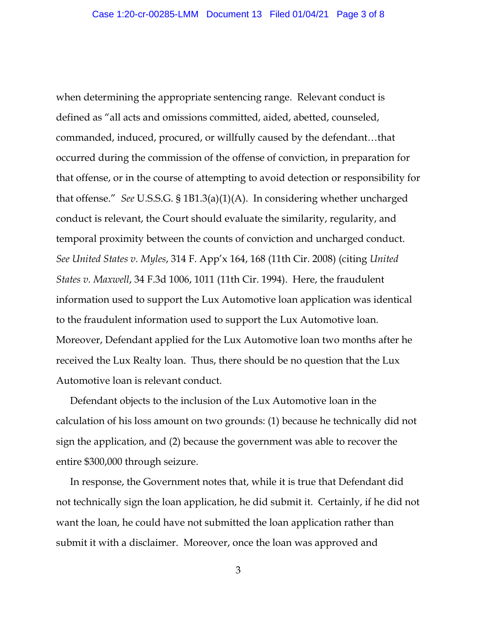when determining the appropriate sentencing range. Relevant conduct is defined as "all acts and omissions committed, aided, abetted, counseled, commanded, induced, procured, or willfully caused by the defendant…that occurred during the commission of the offense of conviction, in preparation for that offense, or in the course of attempting to avoid detection or responsibility for that offense." *See* U.S.S.G. § 1B1.3(a)(1)(A). In considering whether uncharged conduct is relevant, the Court should evaluate the similarity, regularity, and temporal proximity between the counts of conviction and uncharged conduct. *See United States v. Myles*, 314 F. App'x 164, 168 (11th Cir. 2008) (citing *United States v. Maxwell*, 34 F.3d 1006, 1011 (11th Cir. 1994). Here, the fraudulent information used to support the Lux Automotive loan application was identical to the fraudulent information used to support the Lux Automotive loan. Moreover, Defendant applied for the Lux Automotive loan two months after he received the Lux Realty loan. Thus, there should be no question that the Lux Automotive loan is relevant conduct.

Defendant objects to the inclusion of the Lux Automotive loan in the calculation of his loss amount on two grounds: (1) because he technically did not sign the application, and (2) because the government was able to recover the entire \$300,000 through seizure.

In response, the Government notes that, while it is true that Defendant did not technically sign the loan application, he did submit it. Certainly, if he did not want the loan, he could have not submitted the loan application rather than submit it with a disclaimer. Moreover, once the loan was approved and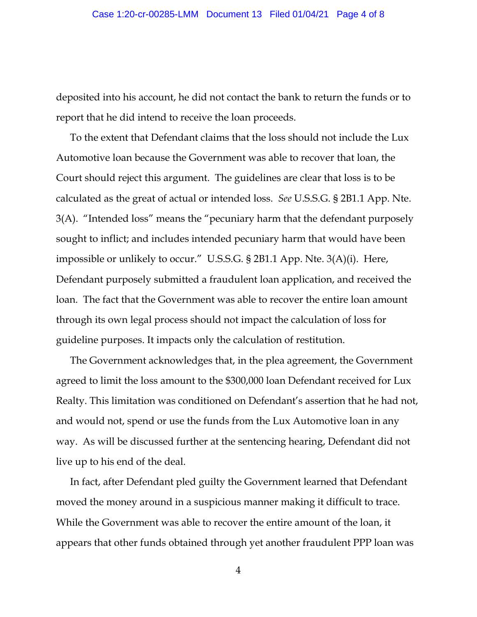deposited into his account, he did not contact the bank to return the funds or to report that he did intend to receive the loan proceeds.

To the extent that Defendant claims that the loss should not include the Lux Automotive loan because the Government was able to recover that loan, the Court should reject this argument. The guidelines are clear that loss is to be calculated as the great of actual or intended loss. *See* U.S.S.G. § 2B1.1 App. Nte. 3(A). "Intended loss" means the "pecuniary harm that the defendant purposely sought to inflict; and includes intended pecuniary harm that would have been impossible or unlikely to occur." U.S.S.G. § 2B1.1 App. Nte. 3(A)(i). Here, Defendant purposely submitted a fraudulent loan application, and received the loan. The fact that the Government was able to recover the entire loan amount through its own legal process should not impact the calculation of loss for guideline purposes. It impacts only the calculation of restitution.

The Government acknowledges that, in the plea agreement, the Government agreed to limit the loss amount to the \$300,000 loan Defendant received for Lux Realty. This limitation was conditioned on Defendant's assertion that he had not, and would not, spend or use the funds from the Lux Automotive loan in any way. As will be discussed further at the sentencing hearing, Defendant did not live up to his end of the deal.

In fact, after Defendant pled guilty the Government learned that Defendant moved the money around in a suspicious manner making it difficult to trace. While the Government was able to recover the entire amount of the loan, it appears that other funds obtained through yet another fraudulent PPP loan was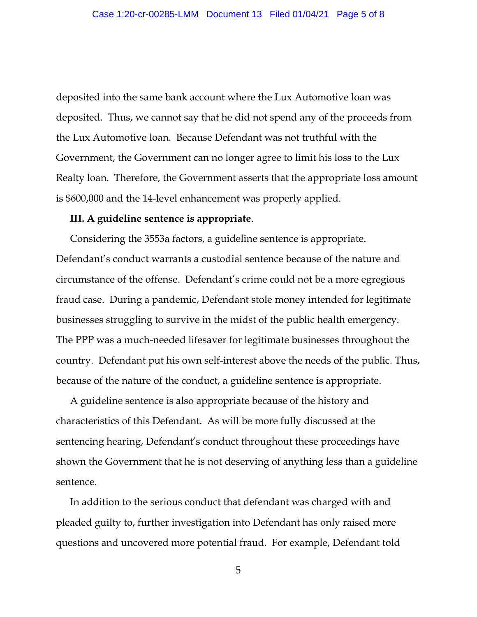deposited into the same bank account where the Lux Automotive loan was deposited. Thus, we cannot say that he did not spend any of the proceeds from the Lux Automotive loan. Because Defendant was not truthful with the Government, the Government can no longer agree to limit his loss to the Lux Realty loan. Therefore, the Government asserts that the appropriate loss amount is \$600,000 and the 14-level enhancement was properly applied.

#### **III. A guideline sentence is appropriate**.

Considering the 3553a factors, a guideline sentence is appropriate. Defendant's conduct warrants a custodial sentence because of the nature and circumstance of the offense. Defendant's crime could not be a more egregious fraud case. During a pandemic, Defendant stole money intended for legitimate businesses struggling to survive in the midst of the public health emergency. The PPP was a much-needed lifesaver for legitimate businesses throughout the country. Defendant put his own self-interest above the needs of the public. Thus, because of the nature of the conduct, a guideline sentence is appropriate.

A guideline sentence is also appropriate because of the history and characteristics of this Defendant. As will be more fully discussed at the sentencing hearing, Defendant's conduct throughout these proceedings have shown the Government that he is not deserving of anything less than a guideline sentence.

In addition to the serious conduct that defendant was charged with and pleaded guilty to, further investigation into Defendant has only raised more questions and uncovered more potential fraud. For example, Defendant told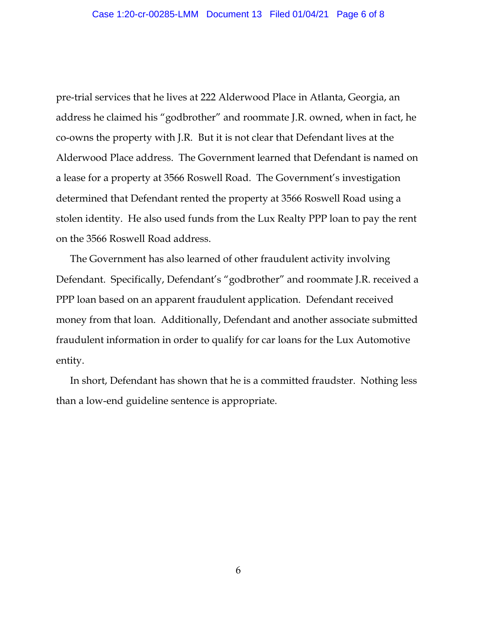pre-trial services that he lives at 222 Alderwood Place in Atlanta, Georgia, an address he claimed his "godbrother" and roommate J.R. owned, when in fact, he co-owns the property with J.R. But it is not clear that Defendant lives at the Alderwood Place address. The Government learned that Defendant is named on a lease for a property at 3566 Roswell Road. The Government's investigation determined that Defendant rented the property at 3566 Roswell Road using a stolen identity. He also used funds from the Lux Realty PPP loan to pay the rent on the 3566 Roswell Road address.

The Government has also learned of other fraudulent activity involving Defendant. Specifically, Defendant's "godbrother" and roommate J.R. received a PPP loan based on an apparent fraudulent application. Defendant received money from that loan. Additionally, Defendant and another associate submitted fraudulent information in order to qualify for car loans for the Lux Automotive entity.

In short, Defendant has shown that he is a committed fraudster. Nothing less than a low-end guideline sentence is appropriate.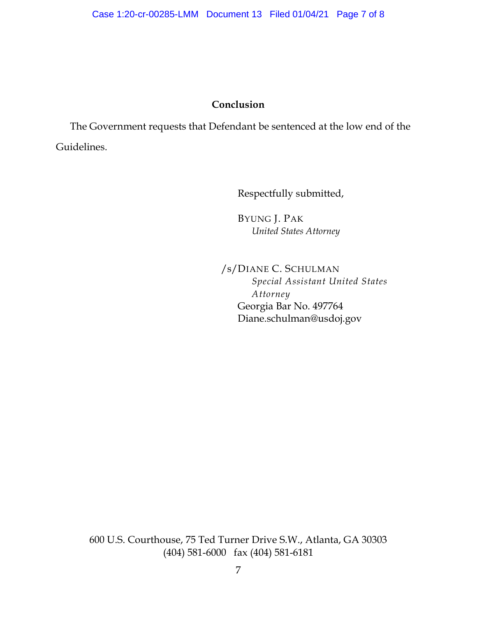# **Conclusion**

The Government requests that Defendant be sentenced at the low end of the Guidelines.

Respectfully submitted,

BYUNG J. PAK *United States Attorney*

/s/DIANE C. SCHULMAN *Special Assistant United States Attorney* Georgia Bar No. 497764 Diane.schulman@usdoj.gov

600 U.S. Courthouse, 75 Ted Turner Drive S.W., Atlanta, GA 30303 (404) 581-6000 fax (404) 581-6181